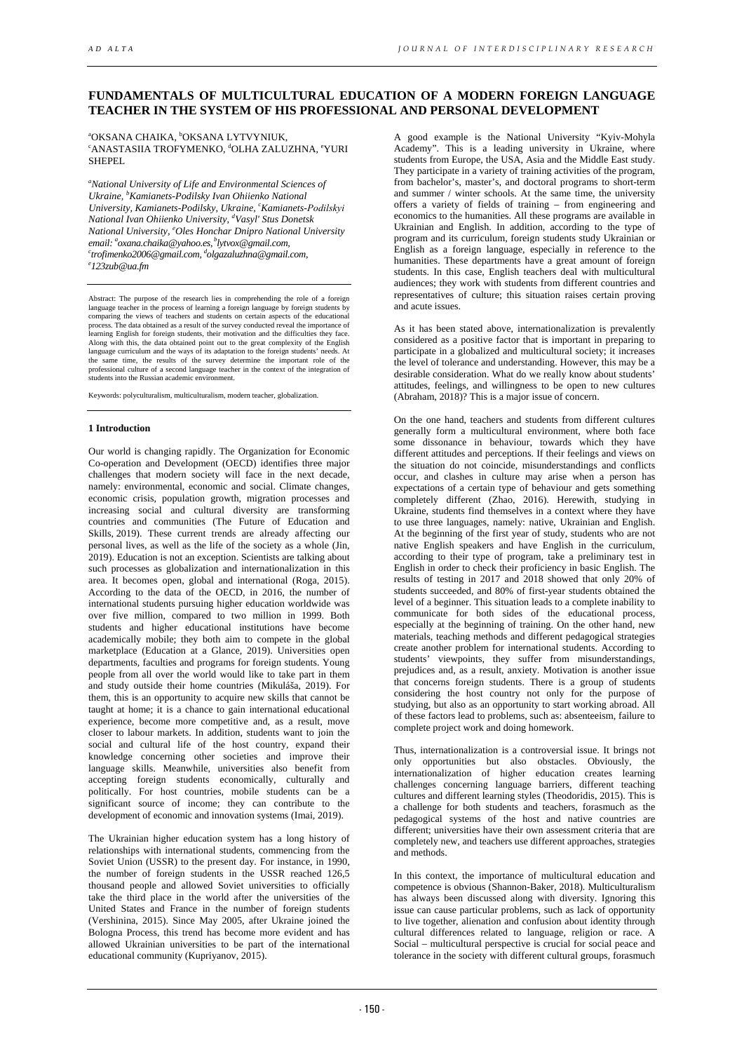# **FUNDAMENTALS OF MULTICULTURAL EDUCATION OF A MODERN FOREIGN LANGUAGE TEACHER IN THE SYSTEM OF HIS PROFESSIONAL AND PERSONAL DEVELOPMENT**

<sup>a</sup>OKSANA CHAIKA, <sup>b</sup>OKSANA LYTVYNIUK,<br>¤ANASTASILA TROEVMENKO, ªOLHA ZALLI ANASTASIIA TROFYMENKO, <sup>d</sup>OLHA ZALUZHNA, <sup>e</sup>YURI SHEPEL

*a National University of Life and Environmental Sciences of Ukraine, b Kamianets-Podilsky Ivan Ohiienko National University, Kamianets-Podilsky, Ukraine, c Kamianets-Podіlskyi National Ivan Ohiienko University, d Vasyl' Stus Donetsk National University, e Oles Honchar Dnipro National University email: a oxana.chaika@yahoo.es, blytvox@gmail.com, c* <sup>c</sup>trofimenko2006@gmail.com, <sup>d</sup>olgazaluzhna@gmail.com,<br><sup>e</sup> 123aub@ug.fm *123zub@ua.fm*

Abstract: The purpose of the research lies in comprehending the role of a foreign language teacher in the process of learning a foreign language by foreign students by comparing the views of teachers and students on certain aspects of the educational process. The data obtained as a result of the survey conducted reveal the importance of learning English for foreign students, their motivation and the difficulties they face. Along with this, the data obtained point out to the great complexity of the English language curriculum and the ways of its adaptation to the foreign students' needs. At the same time, the results of the survey determine the important role of the professional culture of a second language teacher in the context of the integration of students into the Russian academic environment.

Keywords: polyculturalism, multiculturalism, modern teacher, globalization.

## **1 Introduction**

Our world is changing rapidly. The Organization for Economic Co-operation and Development (OECD) identifies three major challenges that modern society will face in the next decade, namely: environmental, economic and social. Climate changes, economic crisis, population growth, migration processes and increasing social and cultural diversity are transforming countries and communities (The Future of Education and Skills, 2019). These current trends are already affecting our personal lives, as well as the life of the society as a whole (Jin, 2019). Education is not an exception. Scientists are talking about such processes as globalization and internationalization in this area. It becomes open, global and international (Roga, 2015). According to the data of the OECD, in 2016, the number of international students pursuing higher education worldwide was over five million, compared to two million in 1999. Both students and higher educational institutions have become academically mobile; they both aim to compete in the global marketplace (Education at a Glance, 2019). Universities open departments, faculties and programs for foreign students. Young people from all over the world would like to take part in them and study outside their home countries (Mikuláša, 2019). For them, this is an opportunity to acquire new skills that cannot be taught at home; it is a chance to gain international educational experience, become more competitive and, as a result, move closer to labour markets. In addition, students want to join the social and cultural life of the host country, expand their knowledge concerning other societies and improve their language skills. Meanwhile, universities also benefit from accepting foreign students economically, culturally and politically. For host countries, mobile students can be a significant source of income; they can contribute to the development of economic and innovation systems (Imai, 2019).

The Ukrainian higher education system has a long history of relationships with international students, commencing from the Soviet Union (USSR) to the present day. For instance, in 1990, the number of foreign students in the USSR reached 126,5 thousand people and allowed Soviet universities to officially take the third place in the world after the universities of the United States and France in the number of foreign students (Vershinina, 2015). Since May 2005, after Ukraine joined the Bologna Process, this trend has become more evident and has allowed Ukrainian universities to be part of the international educational community (Kupriyanov, 2015).

A good example is the National University "Kyiv-Mohyla Academy". This is a leading university in Ukraine, where students from Europe, the USA, Asia and the Middle East study. They participate in a variety of training activities of the program, from bachelor's, master's, and doctoral programs to short-term and summer / winter schools. At the same time, the university offers a variety of fields of training – from engineering and economics to the humanities. All these programs are available in Ukrainian and English. In addition, according to the type of program and its curriculum, foreign students study Ukrainian or English as a foreign language, especially in reference to the humanities. These departments have a great amount of foreign students. In this case, English teachers deal with multicultural audiences; they work with students from different countries and representatives of culture; this situation raises certain proving and acute issues.

As it has been stated above, internationalization is prevalently considered as a positive factor that is important in preparing to participate in a globalized and multicultural society; it increases the level of tolerance and understanding. However, this may be a desirable consideration. What do we really know about students' attitudes, feelings, and willingness to be open to new cultures (Abraham, 2018)? This is a major issue of concern.

On the one hand, teachers and students from different cultures generally form a multicultural environment, where both face some dissonance in behaviour, towards which they have different attitudes and perceptions. If their feelings and views on the situation do not coincide, misunderstandings and conflicts occur, and clashes in culture may arise when a person has expectations of a certain type of behaviour and gets something completely different (Zhao, 2016). Herewith, studying in Ukraine, students find themselves in a context where they have to use three languages, namely: native, Ukrainian and English. At the beginning of the first year of study, students who are not native English speakers and have English in the curriculum, according to their type of program, take a preliminary test in English in order to check their proficiency in basic English. The results of testing in 2017 and 2018 showed that only 20% of students succeeded, and 80% of first-year students obtained the level of a beginner. This situation leads to a complete inability to communicate for both sides of the educational process, especially at the beginning of training. On the other hand, new materials, teaching methods and different pedagogical strategies create another problem for international students. According to students' viewpoints, they suffer from misunderstandings, prejudices and, as a result, anxiety. Motivation is another issue that concerns foreign students. There is a group of students considering the host country not only for the purpose of studying, but also as an opportunity to start working abroad. All of these factors lead to problems, such as: absenteeism, failure to complete project work and doing homework.

Thus, internationalization is a controversial issue. It brings not only opportunities but also obstacles. Obviously, the internationalization of higher education creates learning challenges concerning language barriers, different teaching cultures and different learning styles (Theodoridis, 2015). This is a challenge for both students and teachers, forasmuch as the pedagogical systems of the host and native countries are different; universities have their own assessment criteria that are completely new, and teachers use different approaches, strategies and methods.

In this context, the importance of multicultural education and competence is obvious (Shannon-Baker, 2018). Multiculturalism has always been discussed along with diversity. Ignoring this issue can cause particular problems, such as lack of opportunity to live together, alienation and confusion about identity through cultural differences related to language, religion or race. A Social – multicultural perspective is crucial for social peace and tolerance in the society with different cultural groups, forasmuch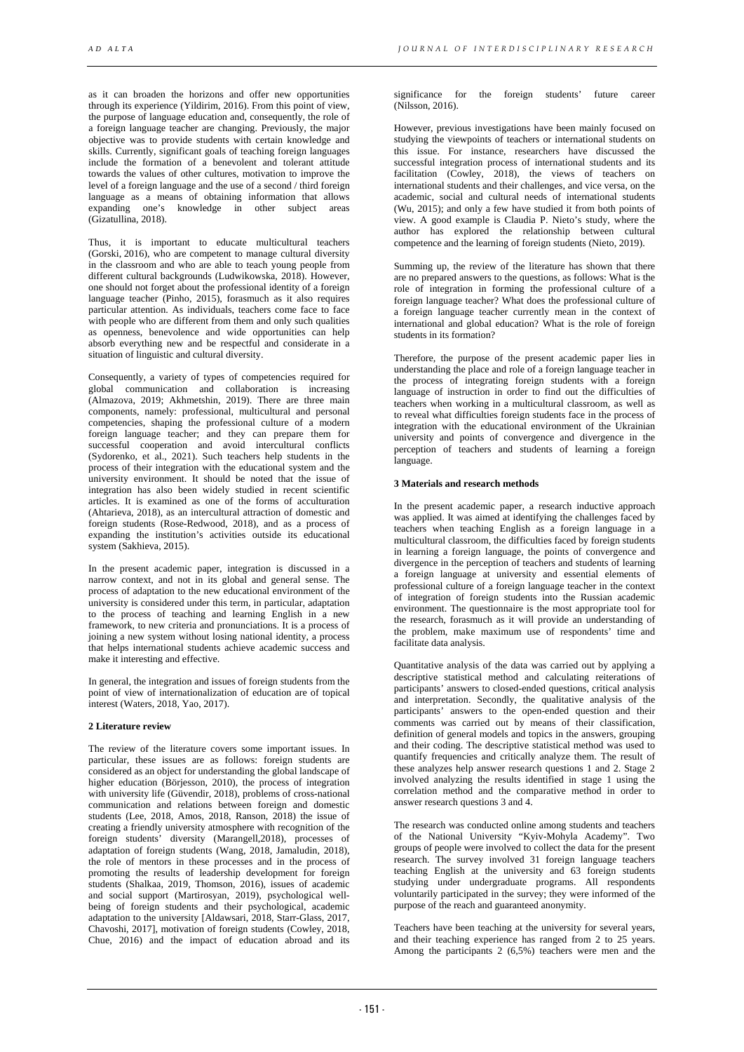as it can broaden the horizons and offer new opportunities through its experience (Yildirim, 2016). From this point of view, the purpose of language education and, consequently, the role of a foreign language teacher are changing. Previously, the major objective was to provide students with certain knowledge and skills. Currently, significant goals of teaching foreign languages include the formation of a benevolent and tolerant attitude towards the values of other cultures, motivation to improve the level of a foreign language and the use of a second / third foreign language as a means of obtaining information that allows expanding one's knowledge in other subject areas (Gizatullina, 2018).

Thus, it is important to educate multicultural teachers (Gorski, 2016), who are competent to manage cultural diversity in the classroom and who are able to teach young people from different cultural backgrounds (Ludwikowska, 2018). However, one should not forget about the professional identity of a foreign language teacher (Pinho, 2015), forasmuch as it also requires particular attention. As individuals, teachers come face to face with people who are different from them and only such qualities as openness, benevolence and wide opportunities can help absorb everything new and be respectful and considerate in a situation of linguistic and cultural diversity.

Consequently, a variety of types of competencies required for global communication and collaboration is increasing (Almazova, 2019; Akhmetshin, 2019). There are three main components, namely: professional, multicultural and personal competencies, shaping the professional culture of a modern foreign language teacher; and they can prepare them for successful cooperation and avoid intercultural conflicts (Sydorenko, et al., 2021). Such teachers help students in the process of their integration with the educational system and the university environment. It should be noted that the issue of integration has also been widely studied in recent scientific articles. It is examined as one of the forms of acculturation (Ahtarieva, 2018), as an intercultural attraction of domestic and foreign students (Rose-Redwood, 2018), and as a process of expanding the institution's activities outside its educational system (Sakhieva, 2015).

In the present academic paper, integration is discussed in a narrow context, and not in its global and general sense. The process of adaptation to the new educational environment of the university is considered under this term, in particular, adaptation to the process of teaching and learning English in a new framework, to new criteria and pronunciations. It is a process of joining a new system without losing national identity, a process that helps international students achieve academic success and make it interesting and effective.

In general, the integration and issues of foreign students from the point of view of internationalization of education are of topical interest (Waters, 2018, Yao, 2017).

## **2 Literature review**

The review of the literature covers some important issues. In particular, these issues are as follows: foreign students are considered as an object for understanding the global landscape of higher education (Börjesson, 2010), the process of integration with university life (Güvendir, 2018), problems of cross-national communication and relations between foreign and domestic students (Lee, 2018, Amos, 2018, Ranson, 2018) the issue of creating a friendly university atmosphere with recognition of the foreign students' diversity (Marangell,2018), processes of adaptation of foreign students (Wang, 2018, Jamaludin, 2018), the role of mentors in these processes and in the process of promoting the results of leadership development for foreign students (Shalkaa, 2019, Thomson, 2016), issues of academic and social support (Martirosyan, 2019), psychological wellbeing of foreign students and their psychological, academic adaptation to the university [Aldawsari, 2018, Starr-Glass, 2017, Chavoshi, 2017], motivation of foreign students (Cowley, 2018, Chue, 2016) and the impact of education abroad and its

significance for the foreign students' future career (Nilsson, 2016).

However, previous investigations have been mainly focused on studying the viewpoints of teachers or international students on this issue. For instance, researchers have discussed the successful integration process of international students and its facilitation (Cowley, 2018), the views of teachers on international students and their challenges, and vice versa, on the academic, social and cultural needs of international students (Wu, 2015); and only a few have studied it from both points of view. A good example is Claudia P. Nieto's study, where the author has explored the relationship between cultural competence and the learning of foreign students (Nieto, 2019).

Summing up, the review of the literature has shown that there are no prepared answers to the questions, as follows: What is the role of integration in forming the professional culture of a foreign language teacher? What does the professional culture of a foreign language teacher currently mean in the context of international and global education? What is the role of foreign students in its formation?

Therefore, the purpose of the present academic paper lies in understanding the place and role of a foreign language teacher in the process of integrating foreign students with a foreign language of instruction in order to find out the difficulties of teachers when working in a multicultural classroom, as well as to reveal what difficulties foreign students face in the process of integration with the educational environment of the Ukrainian university and points of convergence and divergence in the perception of teachers and students of learning a foreign language.

# **3 Materials and research methods**

In the present academic paper, a research inductive approach was applied. It was aimed at identifying the challenges faced by teachers when teaching English as a foreign language in a multicultural classroom, the difficulties faced by foreign students in learning a foreign language, the points of convergence and divergence in the perception of teachers and students of learning a foreign language at university and essential elements of professional culture of a foreign language teacher in the context of integration of foreign students into the Russian academic environment. The questionnaire is the most appropriate tool for the research, forasmuch as it will provide an understanding of the problem, make maximum use of respondents' time and facilitate data analysis.

Quantitative analysis of the data was carried out by applying a descriptive statistical method and calculating reiterations of participants' answers to closed-ended questions, critical analysis and interpretation. Secondly, the qualitative analysis of the participants' answers to the open-ended question and their comments was carried out by means of their classification, definition of general models and topics in the answers, grouping and their coding. The descriptive statistical method was used to quantify frequencies and critically analyze them. The result of these analyzes help answer research questions 1 and 2. Stage 2 involved analyzing the results identified in stage 1 using the correlation method and the comparative method in order to answer research questions 3 and 4.

The research was conducted online among students and teachers of the National University "Kyiv-Mohyla Academy". Two groups of people were involved to collect the data for the present research. The survey involved 31 foreign language teachers teaching English at the university and 63 foreign students studying under undergraduate programs. All respondents voluntarily participated in the survey; they were informed of the purpose of the reach and guaranteed anonymity.

Teachers have been teaching at the university for several years, and their teaching experience has ranged from 2 to 25 years. Among the participants 2 (6,5%) teachers were men and the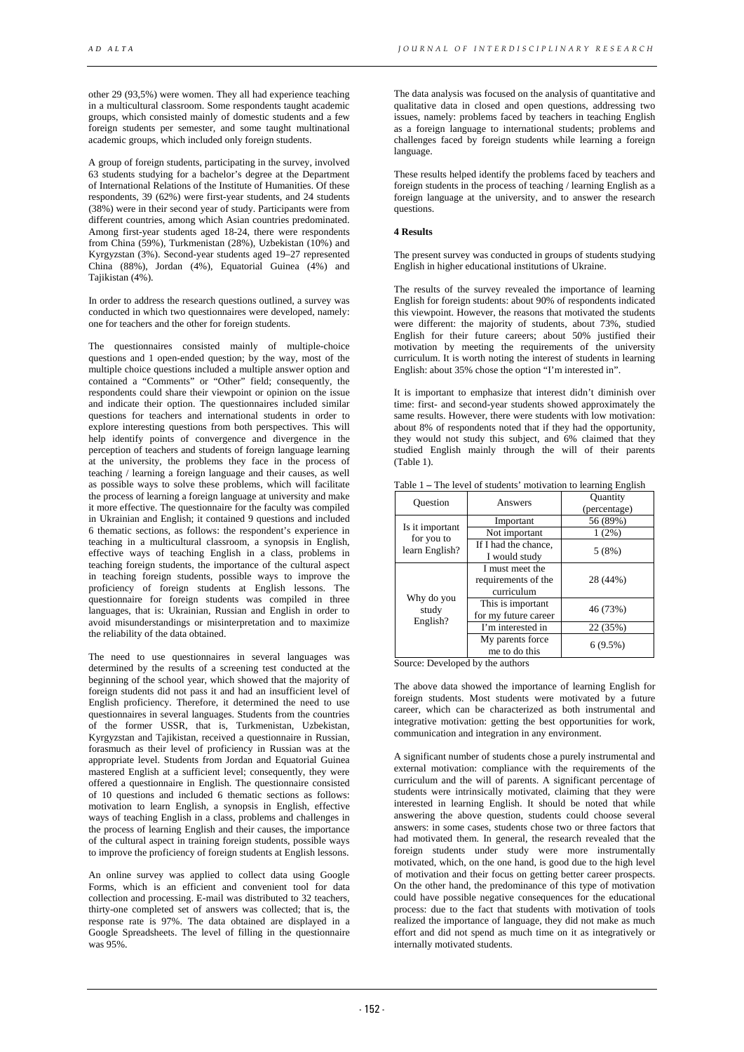other 29 (93,5%) were women. They all had experience teaching in a multicultural classroom. Some respondents taught academic groups, which consisted mainly of domestic students and a few foreign students per semester, and some taught multinational academic groups, which included only foreign students.

A group of foreign students, participating in the survey, involved 63 students studying for a bachelor's degree at the Department of International Relations of the Institute of Humanities. Of these respondents, 39 (62%) were first-year students, and 24 students (38%) were in their second year of study. Participants were from different countries, among which Asian countries predominated. Among first-year students aged 18-24, there were respondents from China (59%), Turkmenistan (28%), Uzbekistan (10%) and Kyrgyzstan (3%). Second-year students aged 19–27 represented China (88%), Jordan (4%), Equatorial Guinea (4%) and Tajikistan (4%).

In order to address the research questions outlined, a survey was conducted in which two questionnaires were developed, namely: one for teachers and the other for foreign students.

The questionnaires consisted mainly of multiple-choice questions and 1 open-ended question; by the way, most of the multiple choice questions included a multiple answer option and contained a "Comments" or "Other" field; consequently, the respondents could share their viewpoint or opinion on the issue and indicate their option. The questionnaires included similar questions for teachers and international students in order to explore interesting questions from both perspectives. This will help identify points of convergence and divergence in the perception of teachers and students of foreign language learning at the university, the problems they face in the process of teaching / learning a foreign language and their causes, as well as possible ways to solve these problems, which will facilitate the process of learning a foreign language at university and make it more effective. The questionnaire for the faculty was compiled in Ukrainian and English; it contained 9 questions and included 6 thematic sections, as follows: the respondent's experience in teaching in a multicultural classroom, a synopsis in English, effective ways of teaching English in a class, problems in teaching foreign students, the importance of the cultural aspect in teaching foreign students, possible ways to improve the proficiency of foreign students at English lessons. The questionnaire for foreign students was compiled in three languages, that is: Ukrainian, Russian and English in order to avoid misunderstandings or misinterpretation and to maximize the reliability of the data obtained.

The need to use questionnaires in several languages was determined by the results of a screening test conducted at the beginning of the school year, which showed that the majority of foreign students did not pass it and had an insufficient level of English proficiency. Therefore, it determined the need to use questionnaires in several languages. Students from the countries of the former USSR, that is, Turkmenistan, Uzbekistan, Kyrgyzstan and Tajikistan, received a questionnaire in Russian, forasmuch as their level of proficiency in Russian was at the appropriate level. Students from Jordan and Equatorial Guinea mastered English at a sufficient level; consequently, they were offered a questionnaire in English. The questionnaire consisted of 10 questions and included 6 thematic sections as follows: motivation to learn English, a synopsis in English, effective ways of teaching English in a class, problems and challenges in the process of learning English and their causes, the importance of the cultural aspect in training foreign students, possible ways to improve the proficiency of foreign students at English lessons.

An online survey was applied to collect data using Google Forms, which is an efficient and convenient tool for data collection and processing. E-mail was distributed to 32 teachers, thirty-one completed set of answers was collected; that is, the response rate is 97%. The data obtained are displayed in a Google Spreadsheets. The level of filling in the questionnaire was 95%.

The data analysis was focused on the analysis of quantitative and qualitative data in closed and open questions, addressing two issues, namely: problems faced by teachers in teaching English as a foreign language to international students; problems and challenges faced by foreign students while learning a foreign language.

These results helped identify the problems faced by teachers and foreign students in the process of teaching / learning English as a foreign language at the university, and to answer the research questions.

## **4 Results**

The present survey was conducted in groups of students studying English in higher educational institutions of Ukraine.

The results of the survey revealed the importance of learning English for foreign students: about 90% of respondents indicated this viewpoint. However, the reasons that motivated the students were different: the majority of students, about 73%, studied English for their future careers; about 50% justified their motivation by meeting the requirements of the university curriculum. It is worth noting the interest of students in learning English: about 35% chose the option "I'm interested in".

It is important to emphasize that interest didn't diminish over time: first- and second-year students showed approximately the same results. However, there were students with low motivation: about 8% of respondents noted that if they had the opportunity, they would not study this subject, and 6% claimed that they studied English mainly through the will of their parents (Table 1).

| Ouestion                                        | Answers                                              | <b>Quantity</b><br>(percentage) |  |
|-------------------------------------------------|------------------------------------------------------|---------------------------------|--|
| Is it important<br>for you to<br>learn English? | Important                                            | 56 (89%)                        |  |
|                                                 | Not important                                        | 1(2%)                           |  |
|                                                 | If I had the chance,<br>I would study                | 5(8%)                           |  |
| Why do you<br>study<br>English?                 | I must meet the<br>requirements of the<br>curriculum | 28 (44%)                        |  |
|                                                 | This is important<br>for my future career            | 46 (73%)                        |  |
|                                                 | I'm interested in                                    | 22 (35%)                        |  |
|                                                 | My parents force<br>me to do this                    | $6(9.5\%)$                      |  |

Table 1 **–** The level of students' motivation to learning English

Source: Developed by the authors

The above data showed the importance of learning English for foreign students. Most students were motivated by a future career, which can be characterized as both instrumental and integrative motivation: getting the best opportunities for work, communication and integration in any environment.

A significant number of students chose a purely instrumental and external motivation: compliance with the requirements of the curriculum and the will of parents. A significant percentage of students were intrinsically motivated, claiming that they were interested in learning English. It should be noted that while answering the above question, students could choose several answers: in some cases, students chose two or three factors that had motivated them. In general, the research revealed that the foreign students under study were more instrumentally motivated, which, on the one hand, is good due to the high level of motivation and their focus on getting better career prospects. On the other hand, the predominance of this type of motivation could have possible negative consequences for the educational process: due to the fact that students with motivation of tools realized the importance of language, they did not make as much effort and did not spend as much time on it as integratively or internally motivated students.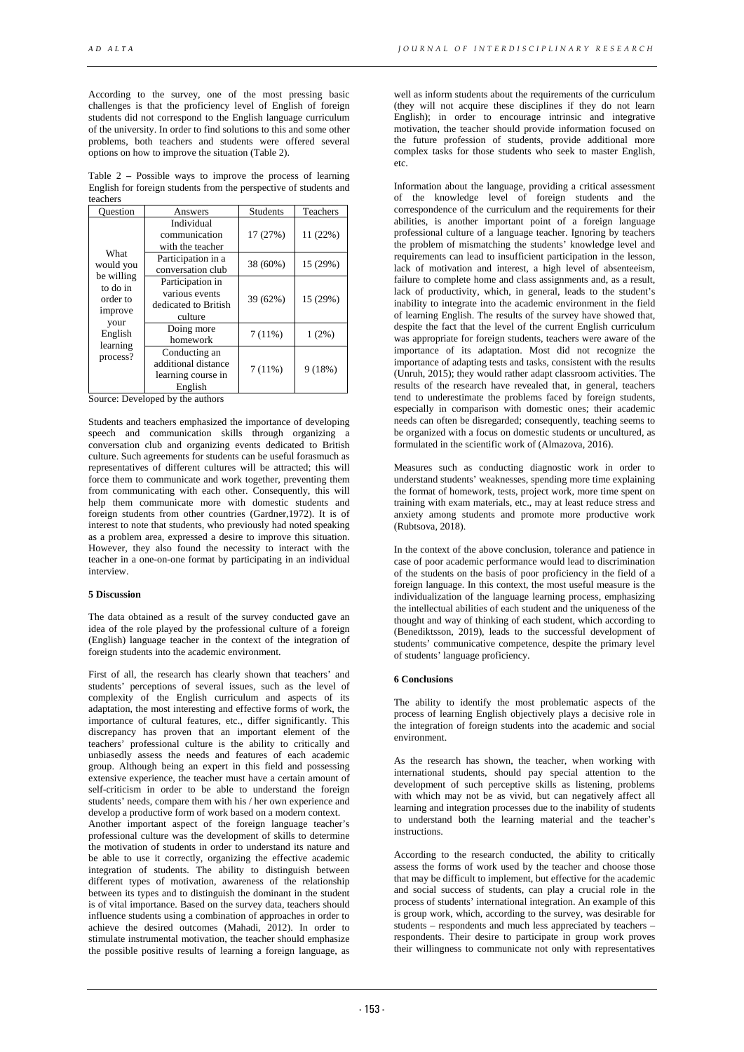According to the survey, one of the most pressing basic challenges is that the proficiency level of English of foreign students did not correspond to the English language curriculum of the university. In order to find solutions to this and some other problems, both teachers and students were offered several options on how to improve the situation (Table 2).

Table 2 **–** Possible ways to improve the process of learning English for foreign students from the perspective of students and teachers

| Ouestion                                                                                                      | Answers                                                               | <b>Students</b> | Teachers |
|---------------------------------------------------------------------------------------------------------------|-----------------------------------------------------------------------|-----------------|----------|
| What<br>would you<br>be willing<br>to do in<br>order to<br>improve<br>your<br>English<br>learning<br>process? | Individual<br>communication<br>with the teacher                       | 17 (27%)        | 11 (22%) |
|                                                                                                               | Participation in a<br>conversation club                               | 38 (60%)        | 15 (29%) |
|                                                                                                               | Participation in<br>various events<br>dedicated to British<br>culture | 39 (62%)        | 15 (29%) |
|                                                                                                               | Doing more<br>homework                                                | 7(11%)          | 1(2%)    |
|                                                                                                               | Conducting an<br>additional distance<br>learning course in<br>English | 7(11%)          | 9(18%)   |

Source: Developed by the authors

Students and teachers emphasized the importance of developing speech and communication skills through organizing a conversation club and organizing events dedicated to British culture. Such agreements for students can be useful forasmuch as representatives of different cultures will be attracted; this will force them to communicate and work together, preventing them from communicating with each other. Consequently, this will help them communicate more with domestic students and foreign students from other countries (Gardner,1972). It is of interest to note that students, who previously had noted speaking as a problem area, expressed a desire to improve this situation. However, they also found the necessity to interact with the teacher in a one-on-one format by participating in an individual interview.

#### **5 Discussion**

The data obtained as a result of the survey conducted gave an idea of the role played by the professional culture of a foreign (English) language teacher in the context of the integration of foreign students into the academic environment.

First of all, the research has clearly shown that teachers' and students' perceptions of several issues, such as the level of complexity of the English curriculum and aspects of its adaptation, the most interesting and effective forms of work, the importance of cultural features, etc., differ significantly. This discrepancy has proven that an important element of the teachers' professional culture is the ability to critically and unbiasedly assess the needs and features of each academic group. Although being an expert in this field and possessing extensive experience, the teacher must have a certain amount of self-criticism in order to be able to understand the foreign students' needs, compare them with his / her own experience and develop a productive form of work based on a modern context.

Another important aspect of the foreign language teacher's professional culture was the development of skills to determine the motivation of students in order to understand its nature and be able to use it correctly, organizing the effective academic integration of students. The ability to distinguish between different types of motivation, awareness of the relationship between its types and to distinguish the dominant in the student is of vital importance. Based on the survey data, teachers should influence students using a combination of approaches in order to achieve the desired outcomes (Mahadi, 2012). In order to stimulate instrumental motivation, the teacher should emphasize the possible positive results of learning a foreign language, as

well as inform students about the requirements of the curriculum (they will not acquire these disciplines if they do not learn English); in order to encourage intrinsic and integrative motivation, the teacher should provide information focused on the future profession of students, provide additional more complex tasks for those students who seek to master English, etc.

Information about the language, providing a critical assessment of the knowledge level of foreign students and the correspondence of the curriculum and the requirements for their abilities, is another important point of a foreign language professional culture of a language teacher. Ignoring by teachers the problem of mismatching the students' knowledge level and requirements can lead to insufficient participation in the lesson, lack of motivation and interest, a high level of absenteeism, failure to complete home and class assignments and, as a result, lack of productivity, which, in general, leads to the student's inability to integrate into the academic environment in the field of learning English. The results of the survey have showed that, despite the fact that the level of the current English curriculum was appropriate for foreign students, teachers were aware of the importance of its adaptation. Most did not recognize the importance of adapting tests and tasks, consistent with the results (Unruh, 2015); they would rather adapt classroom activities. The results of the research have revealed that, in general, teachers tend to underestimate the problems faced by foreign students, especially in comparison with domestic ones; their academic needs can often be disregarded; consequently, teaching seems to be organized with a focus on domestic students or uncultured, as formulated in the scientific work of (Almazova, 2016).

Measures such as conducting diagnostic work in order to understand students' weaknesses, spending more time explaining the format of homework, tests, project work, more time spent on training with exam materials, etc., may at least reduce stress and anxiety among students and promote more productive work (Rubtsova, 2018).

In the context of the above conclusion, tolerance and patience in case of poor academic performance would lead to discrimination of the students on the basis of poor proficiency in the field of a foreign language. In this context, the most useful measure is the individualization of the language learning process, emphasizing the intellectual abilities of each student and the uniqueness of the thought and way of thinking of each student, which according to (Benediktsson, 2019), leads to the successful development of students' communicative competence, despite the primary level of students' language proficiency.

## **6 Conclusions**

The ability to identify the most problematic aspects of the process of learning English objectively plays a decisive role in the integration of foreign students into the academic and social environment.

As the research has shown, the teacher, when working with international students, should pay special attention to the development of such perceptive skills as listening, problems with which may not be as vivid, but can negatively affect all learning and integration processes due to the inability of students to understand both the learning material and the teacher's instructions.

According to the research conducted, the ability to critically assess the forms of work used by the teacher and choose those that may be difficult to implement, but effective for the academic and social success of students, can play a crucial role in the process of students' international integration. An example of this is group work, which, according to the survey, was desirable for students – respondents and much less appreciated by teachers – respondents. Their desire to participate in group work proves their willingness to communicate not only with representatives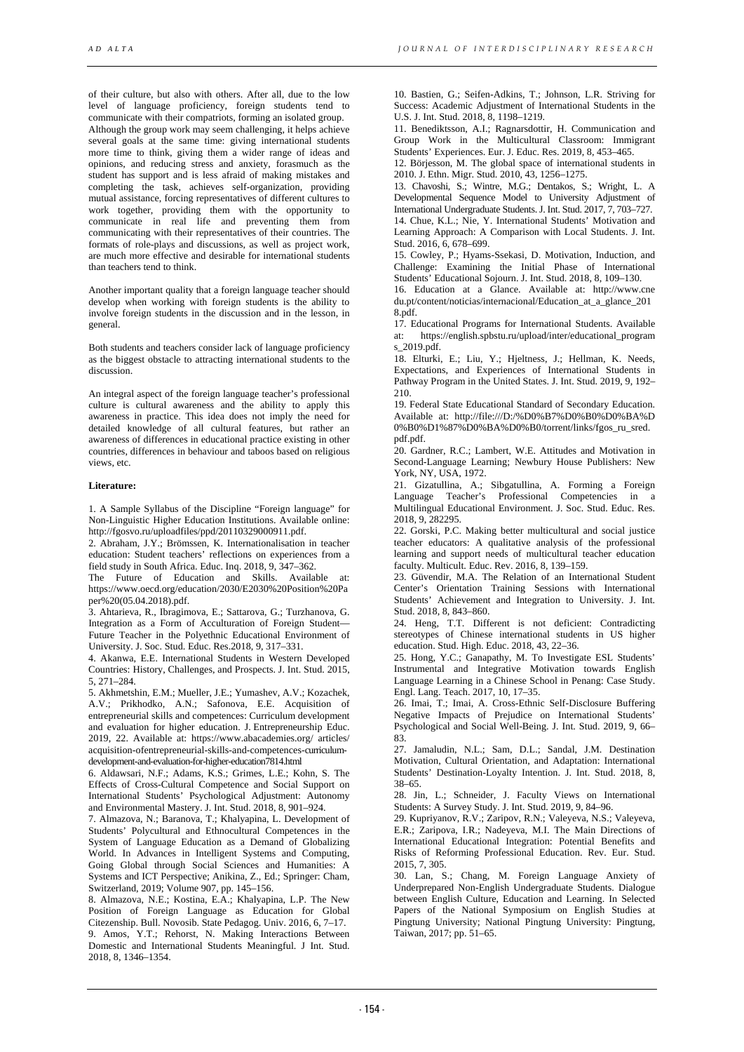of their culture, but also with others. After all, due to the low level of language proficiency, foreign students tend to communicate with their compatriots, forming an isolated group. Although the group work may seem challenging, it helps achieve several goals at the same time: giving international students more time to think, giving them a wider range of ideas and opinions, and reducing stress and anxiety, forasmuch as the student has support and is less afraid of making mistakes and completing the task, achieves self-organization, providing mutual assistance, forcing representatives of different cultures to work together, providing them with the opportunity to communicate in real life and preventing them from communicating with their representatives of their countries. The formats of role-plays and discussions, as well as project work, are much more effective and desirable for international students than teachers tend to think.

Another important quality that a foreign language teacher should develop when working with foreign students is the ability to involve foreign students in the discussion and in the lesson, in general.

Both students and teachers consider lack of language proficiency as the biggest obstacle to attracting international students to the discussion.

An integral aspect of the foreign language teacher's professional culture is cultural awareness and the ability to apply this awareness in practice. This idea does not imply the need for detailed knowledge of all cultural features, but rather an awareness of differences in educational practice existing in other countries, differences in behaviour and taboos based on religious views, etc.

## **Literature:**

1. A Sample Syllabus of the Discipline "Foreign language" for Non-Linguistic Higher Education Institutions. Available online: http://fgosvo.ru/uploadfiles/ppd/20110329000911.pdf.

2. Abraham, J.Y.; Brömssen, K. Internationalisation in teacher education: Student teachers' reflections on experiences from a field study in South Africa. Educ. Inq. 2018, 9, 347–362.

The Future of Education and Skills. Available at: https://www.oecd.org/education/2030/E2030%20Position%20Pa per%20(05.04.2018).pdf.

3. Ahtarieva, R., Ibragimova, E.; Sattarova, G.; Turzhanova, G. Integration as a Form of Acculturation of Foreign Student— Future Teacher in the Polyethnic Educational Environment of University. J. Soc. Stud. Educ. Res.2018, 9, 317–331.

4. Akanwa, E.E. International Students in Western Developed Countries: History, Challenges, and Prospects. J. Int. Stud. 2015, 5, 271–284.

5. Akhmetshin, E.M.; Mueller, J.E.; Yumashev, A.V.; Kozachek, A.V.; Prikhodko, A.N.; Safonova, E.E. Acquisition of entrepreneurial skills and competences: Curriculum development and evaluation for higher education. J. Entrepreneurship Educ. 2019, 22. Available at: https://www.abacademies.org/ articles/ acquisition-ofentrepreneurial-skills-and-competences-curriculumdevelopment-and-evaluation-for-higher-education7814.html

6. Aldawsari, N.F.; Adams, K.S.; Grimes, L.E.; Kohn, S. The Effects of Cross-Cultural Competence and Social Support on International Students' Psychological Adjustment: Autonomy and Environmental Mastery. J. Int. Stud. 2018, 8, 901–924.

7. Almazova, N.; Baranova, T.; Khalyapina, L. Development of Students' Polycultural and Ethnocultural Competences in the System of Language Education as a Demand of Globalizing World. In Advances in Intelligent Systems and Computing, Going Global through Social Sciences and Humanities: A Systems and ICT Perspective; Anikina, Z., Ed.; Springer: Cham, Switzerland, 2019; Volume 907, pp. 145–156.

8. Almazova, N.E.; Kostina, E.A.; Khalyapina, L.P. The New Position of Foreign Language as Education for Global Citezenship. Bull. Novosib. State Pedagog. Univ. 2016, 6, 7–17.

9. Amos, Y.T.; Rehorst, N. Making Interactions Between Domestic and International Students Meaningful. J Int. Stud. 2018, 8, 1346–1354.

10. Bastien, G.; Seifen-Adkins, T.; Johnson, L.R. Striving for Success: Academic Adjustment of International Students in the U.S. J. Int. Stud. 2018, 8, 1198–1219.

11. Benediktsson, A.I.; Ragnarsdottir, H. Communication and Group Work in the Multicultural Classroom: Immigrant Students' Experiences. Eur. J. Educ. Res. 2019, 8, 453–465.

12. Börjesson, M. The global space of international students in 2010. J. Ethn. Migr. Stud. 2010, 43, 1256–1275.

13. Chavoshi, S.; Wintre, M.G.; Dentakos, S.; Wright, L. A Developmental Sequence Model to University Adjustment of International Undergraduate Students. J. Int. Stud. 2017, 7, 703–727.

14. Chue, K.L.; Nie, Y. International Students' Motivation and Learning Approach: A Comparison with Local Students. J. Int. Stud. 2016, 6, 678–699.

15. Cowley, P.; Hyams-Ssekasi, D. Motivation, Induction, and Challenge: Examining the Initial Phase of International Students' Educational Sojourn. J. Int. Stud. 2018, 8, 109–130.

16. Education at a Glance. Available at: http://www.cne du.pt/content/noticias/internacional/Education\_at\_a\_glance\_201 8.pdf.

17. Educational Programs for International Students. Available at: https://english.spbstu.ru/upload/inter/educational\_program s\_2019.pdf.

18. Elturki, E.; Liu, Y.; Hjeltness, J.; Hellman, K. Needs, Expectations, and Experiences of International Students in Pathway Program in the United States. J. Int. Stud. 2019, 9, 192– 210.

19. Federal State Educational Standard of Secondary Education. Available at: http://file:///D:/%D0%B7%D0%B0%D0%BA%D 0%B0%D1%87%D0%BA%D0%B0/torrent/links/fgos\_ru\_sred. pdf.pdf.

20. Gardner, R.C.; Lambert, W.E. Attitudes and Motivation in Second-Language Learning; Newbury House Publishers: New York, NY, USA, 1972.

21. Gizatullina, A.; Sibgatullina, A. Forming a Foreign Language Teacher's Professional Competencies in a Multilingual Educational Environment. J. Soc. Stud. Educ. Res. 2018, 9, 282295.

22. Gorski, P.C. Making better multicultural and social justice teacher educators: A qualitative analysis of the professional learning and support needs of multicultural teacher education faculty. Multicult. Educ. Rev. 2016, 8, 139–159.

23. Güvendir, M.A. The Relation of an International Student Center's Orientation Training Sessions with International Students' Achievement and Integration to University. J. Int. Stud. 2018, 8, 843–860.

24. Heng, T.T. Different is not deficient: Contradicting stereotypes of Chinese international students in US higher education. Stud. High. Educ. 2018, 43, 22–36.

25. Hong, Y.C.; Ganapathy, M. To Investigate ESL Students' Instrumental and Integrative Motivation towards English Language Learning in a Chinese School in Penang: Case Study. Engl. Lang. Teach. 2017, 10, 17–35.

26. Imai, T.; Imai, A. Cross-Ethnic Self-Disclosure Buffering Negative Impacts of Prejudice on International Students' Psychological and Social Well-Being. J. Int. Stud. 2019, 9, 66– 83.

27. Jamaludin, N.L.; Sam, D.L.; Sandal, J.M. Destination Motivation, Cultural Orientation, and Adaptation: International Students' Destination-Loyalty Intention. J. Int. Stud. 2018, 8, 38–65.

28. Jin, L.; Schneider, J. Faculty Views on International Students: A Survey Study. J. Int. Stud. 2019, 9, 84–96.

29. Kupriyanov, R.V.; Zaripov, R.N.; Valeyeva, N.S.; Valeyeva, E.R.; Zaripova, I.R.; Nadeyeva, M.I. The Main Directions of International Educational Integration: Potential Benefits and Risks of Reforming Professional Education. Rev. Eur. Stud. 2015, 7, 305.

30. Lan, S.; Chang, M. Foreign Language Anxiety of Underprepared Non-English Undergraduate Students. Dialogue between English Culture, Education and Learning. In Selected Papers of the National Symposium on English Studies at Pingtung University; National Pingtung University: Pingtung, Taiwan, 2017; pp. 51–65.